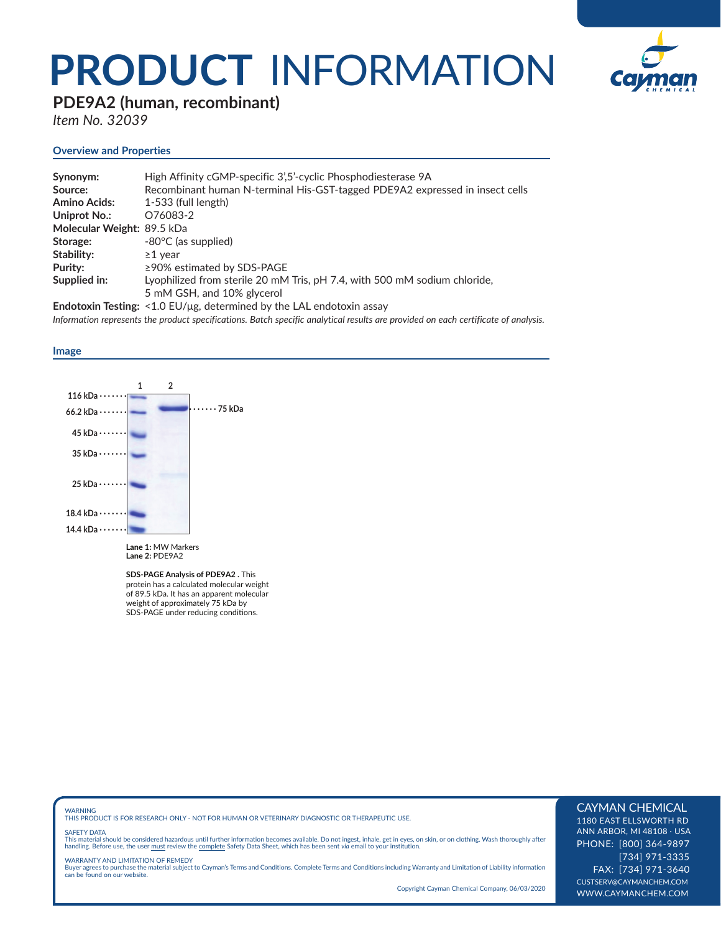## **PRODUCT** INFORMATION



### **PDE9A2 (human, recombinant)**

*Item No. 32039*

#### **Overview and Properties**

| Synonym:                   | High Affinity cGMP-specific 3',5'-cyclic Phosphodiesterase 9A                |
|----------------------------|------------------------------------------------------------------------------|
| Source:                    | Recombinant human N-terminal His-GST-tagged PDE9A2 expressed in insect cells |
| <b>Amino Acids:</b>        | $1-533$ (full length)                                                        |
| Uniprot No.:               | O76083-2                                                                     |
| Molecular Weight: 89.5 kDa |                                                                              |
| Storage:                   | -80°C (as supplied)                                                          |
| Stability:                 | $\geq$ 1 vear                                                                |
| Purity:                    | $\geq$ 90% estimated by SDS-PAGE                                             |
| Supplied in:               | Lyophilized from sterile 20 mM Tris, pH 7.4, with 500 mM sodium chloride,    |
|                            | 5 mM GSH, and 10% glycerol                                                   |
|                            |                                                                              |

**Endotoxin Testing:** <1.0 EU/μg, determined by the LAL endotoxin assay *Information represents the product specifications. Batch specific analytical results are provided on each certificate of analysis.*

#### **Image**



**SDS-PAGE Analysis of PDE9A2 .** This protein has a calculated molecular weight of 89.5 kDa. It has an apparent molecular weight of approximately 75 kDa by SDS-PAGE under reducing conditions.

WARNING THIS PRODUCT IS FOR RESEARCH ONLY - NOT FOR HUMAN OR VETERINARY DIAGNOSTIC OR THERAPEUTIC USE.

#### SAFETY DATA

This material should be considered hazardous until further information becomes available. Do not ingest, inhale, get in eyes, on skin, or on clothing. Wash thoroughly after<br>handling. Before use, the user must review the co

WARRANTY AND LIMITATION OF REMEDY Buyer agrees to purchase the material subject to Cayman's Terms and Conditions. Complete Terms and Conditions including Warranty and Limitation of Liability information can be found on our website.

Copyright Cayman Chemical Company, 06/03/2020

#### CAYMAN CHEMICAL

1180 EAST ELLSWORTH RD ANN ARBOR, MI 48108 · USA PHONE: [800] 364-9897 [734] 971-3335 FAX: [734] 971-3640 CUSTSERV@CAYMANCHEM.COM WWW.CAYMANCHEM.COM